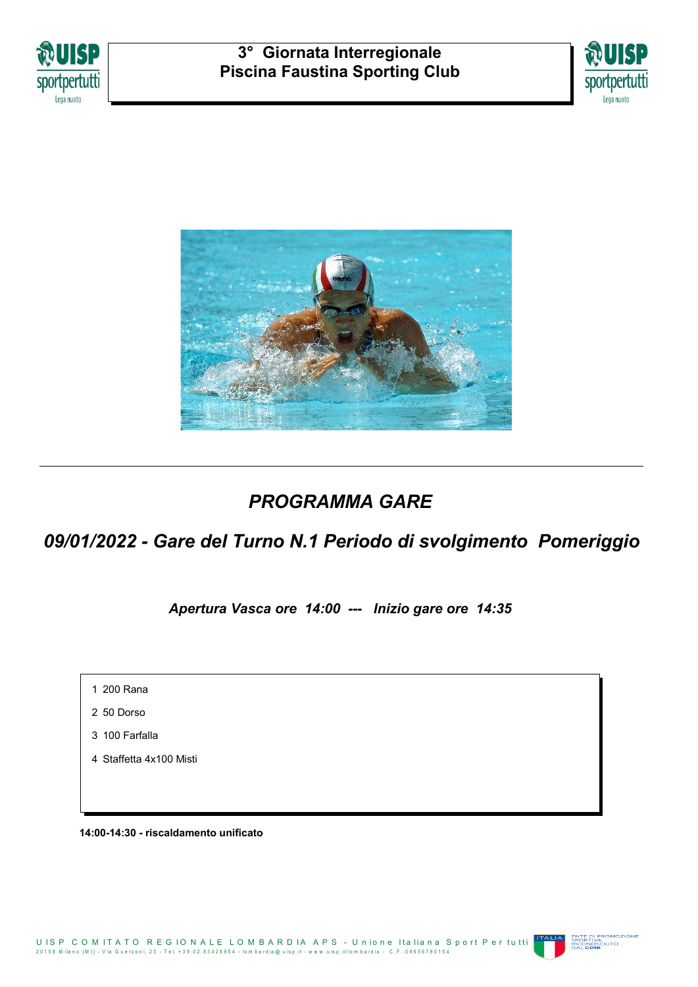





# *PROGRAMMA GARE*

# *09/01/2022 - Gare del Turno N.1 Periodo di svolgimento Pomeriggio*

*Apertura Vasca ore 14:00 --- Inizio gare ore 14:35*

1 200 Rana

2 50 Dorso

3 100 Farfalla

4 Staffetta 4x100 Misti

**14:00-14:30 - riscaldamento unificato**

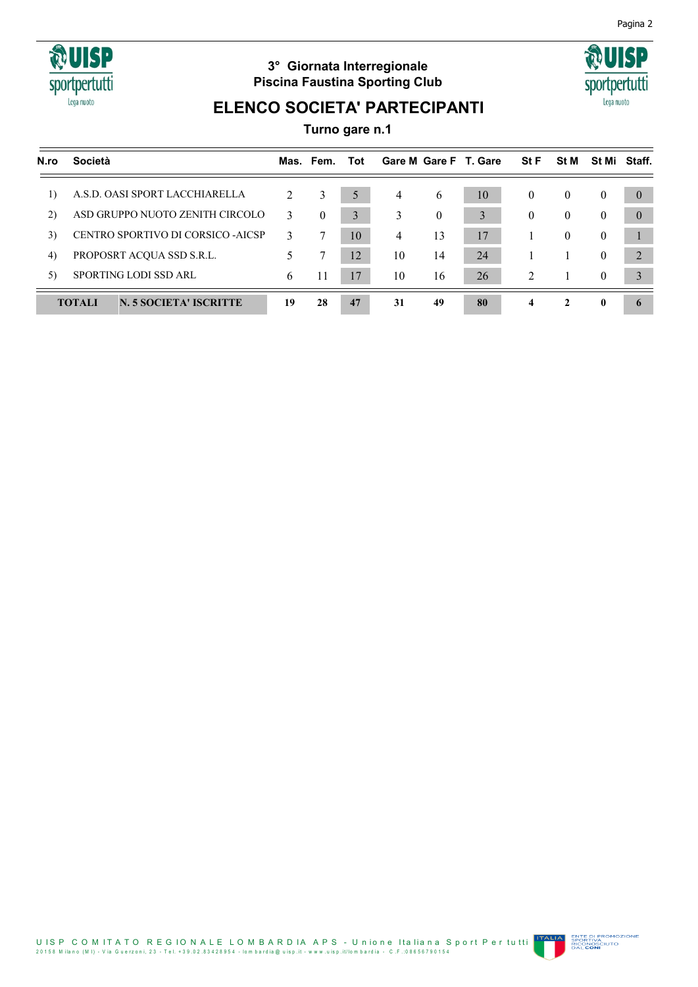

## **3° Giornata Interregionale Piscina Faustina Sporting Club**



# **ELENCO SOCIETA' PARTECIPANTI**

**Turno gare n.1**

| N.ro                         | <b>Società</b>                          |    | Mas. Fem.        | Tot |    |                  | Gare M Gare F T. Gare | <b>StF</b>          | <b>St M</b>  | St Mi          | Staff.   |
|------------------------------|-----------------------------------------|----|------------------|-----|----|------------------|-----------------------|---------------------|--------------|----------------|----------|
| $\left( \frac{1}{2} \right)$ | A.S.D. OASI SPORT LACCHIARELLA          | 2  | 3                | 5   | 4  | 6                | 10                    | $\theta$            | $\theta$     | $\theta$       | $\theta$ |
| 2)                           | ASD GRUPPO NUOTO ZENITH CIRCOLO         | 3  | $\boldsymbol{0}$ | 3   | 3  | $\boldsymbol{0}$ | 3                     | $\overline{0}$      | $\mathbf{0}$ | $\overline{0}$ | $\theta$ |
| 3)                           | CENTRO SPORTIVO DI CORSICO -AICSP       | 3  | 7                | 10  | 4  | 13               | 17                    |                     | $\theta$     | $\theta$       |          |
| 4)                           | PROPOSRT ACQUA SSD S.R.L.               |    | 7                | 12  | 10 | 14               | 24                    |                     |              | $\theta$       | 2        |
| 5)                           | SPORTING LODI SSD ARL                   | 6  | 11               | 17  | 10 | 16               | 26                    | $\overline{2}$      |              | $\theta$       |          |
|                              | <b>TOTALI</b><br>N. 5 SOCIETA' ISCRITTE | 19 | 28               | 47  | 31 | 49               | 80                    | $\overline{\bf{4}}$ | $\mathbf{2}$ | $\mathbf{0}$   |          |

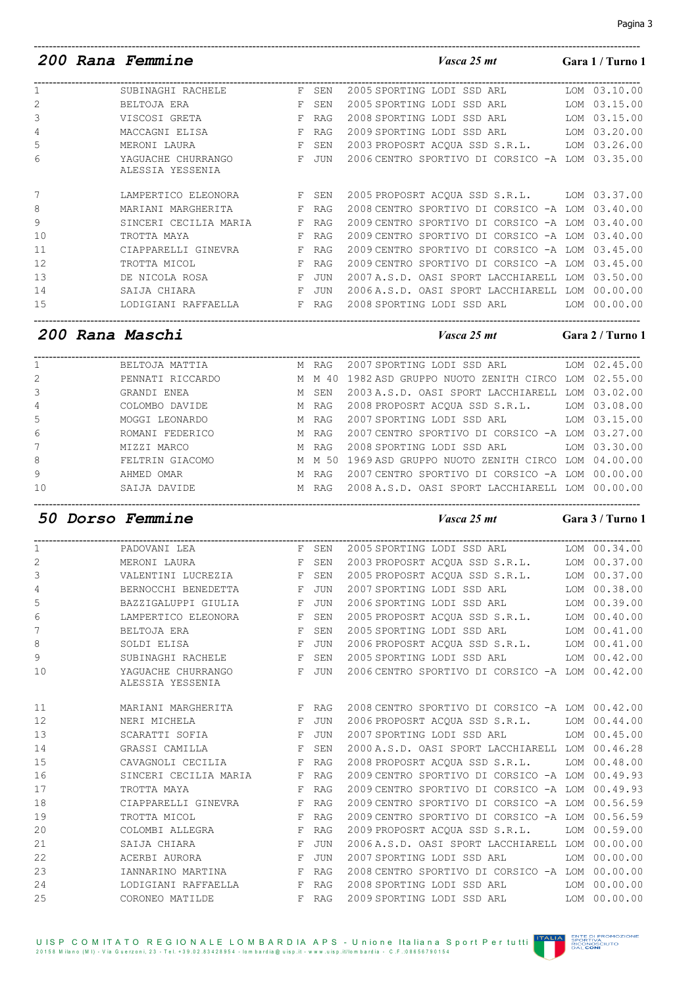|    | <i>200 Rana Femmine</i>                |              |            | Vasca 25 mt                                     | Gara 1 / Turno 1 |
|----|----------------------------------------|--------------|------------|-------------------------------------------------|------------------|
|    | SUBINAGHI RACHELE                      |              | F SEN      | 2005 SPORTING LODI SSD ARL                      | LOM 03.10.00     |
| 2  | BELTOJA ERA                            | F            | SEN        | 2005 SPORTING LODI SSD ARL LOM 03.15.00         |                  |
| 3  | VISCOSI GRETA                          | F            | <b>RAG</b> | 2008 SPORTING LODI SSD ARL                      | LOM 03.15.00     |
| 4  | MACCAGNI ELISA                         | F            | <b>RAG</b> | 2009 SPORTING LODI SSD ARL LOM 03.20.00         |                  |
| 5  | MERONI LAURA                           | F            | SEN        | 2003 PROPOSRT ACQUA SSD S.R.L. LOM 03.26.00     |                  |
| 6  | YAGUACHE CHURRANGO<br>ALESSIA YESSENIA | F            | JUN        | 2006 CENTRO SPORTIVO DI CORSICO -A LOM 03.35.00 |                  |
|    | LAMPERTICO ELEONORA                    | F            | SEN        | 2005 PROPOSRT ACOUA SSD S.R.L. LOM 03.37.00     |                  |
| 8  | MARIANI MARGHERITA                     | F            | <b>RAG</b> | 2008 CENTRO SPORTIVO DI CORSICO -A LOM 03.40.00 |                  |
| 9  | SINCERI CECILIA MARIA                  | F            | RAG        | 2009 CENTRO SPORTIVO DI CORSICO -A LOM 03.40.00 |                  |
| 10 | TROTTA MAYA                            | F            | <b>RAG</b> | 2009 CENTRO SPORTIVO DI CORSICO -A LOM          | 03.40.00         |
| 11 | CIAPPARELLI GINEVRA                    | F            | <b>RAG</b> | 2009 CENTRO SPORTIVO DI CORSICO -A LOM          | 0.3.45.00        |
| 12 | TROTTA MICOL                           | F            | <b>RAG</b> | 2009 CENTRO SPORTIVO DI CORSICO -A LOM          | 03.45.00         |
| 13 | DE NICOLA ROSA                         | $\mathbf{F}$ | <b>JUN</b> | 2007 A.S.D. OASI SPORT LACCHIARELL LOM          | 03.50.00         |
| 14 | SAIJA CHIARA                           | F            | JUN        | 2006 A.S.D. OASI SPORT LACCHIARELL LOM 00.00.00 |                  |
| 15 | LODIGIANI RAFFAELLA                    | F            | RAG        | 2008 SPORTING LODI SSD ARL LOM 00.00.00         |                  |

*200 Rana Maschi Vasca 25 mt* **Gara 2 / Turno 1**

| $1 \qquad \qquad$ |                          |       | 2007 SPORTING LODI SSD ARL LOM 02.45.00                                   |  |
|-------------------|--------------------------|-------|---------------------------------------------------------------------------|--|
| $\overline{2}$    |                          |       | PENNATI RICCARDO M M M 40 1982 ASD GRUPPO NUOTO ZENITH CIRCO LOM 02.55.00 |  |
| $3^{\circ}$       | GRANDI ENEA<br>M SEN     |       | 2003 A.S.D. OASI SPORT LACCHIARELL LOM 03.02.00                           |  |
| $4\degree$        | COLOMBO DAVIDE M RAG     |       | 2008 PROPOSRT ACOUA SSD S.R.L. LOM 03.08.00                               |  |
| 5                 | MOGGI LEONARDO M NAG     |       | 2007 SPORTING LODI SSD ARL LOM 03.15.00                                   |  |
| 6                 | M RAG<br>ROMANI FEDERICO |       | 2007 CENTRO SPORTIVO DI CORSICO -A LOM 03.27.00                           |  |
| 7                 | MIZZI MARCO              | M RAG | 2008 SPORTING LODI SSD ARL LOM 03.30.00                                   |  |
| 8                 | FELTRIN GIACOMO          |       | M M 50 1969 ASD GRUPPO NUOTO ZENITH CIRCO LOM 04.00.00                    |  |
| 9                 | AHMED OMAR               | M RAG | 2007 CENTRO SPORTIVO DI CORSICO -A LOM 00.00.00                           |  |
| 10 <sup>°</sup>   | SAIJA DAVIDE             | M RAG | 2008 A.S.D. OASI SPORT LACCHIARELL LOM 00.00.00                           |  |
|                   |                          |       |                                                                           |  |

-----------------------------------------------------------------------------------------------------------------------------------------------------------------

### *50 Dorso Femmine Vasca 25 mt* **Gara 3 / Turno 1**

| PADOVANI LEA     |  |                                                                                                                                                                                                                                                                                                                                                                                                                                                                                                                                                                                                                                                                          |                                                                                                                                                                                                                                                                                                                                                                                                                                                                                                                                                                                                                                                                                                                                                                                                                                                                                                                                                                                                                                                                                                                                                                                                                           |
|------------------|--|--------------------------------------------------------------------------------------------------------------------------------------------------------------------------------------------------------------------------------------------------------------------------------------------------------------------------------------------------------------------------------------------------------------------------------------------------------------------------------------------------------------------------------------------------------------------------------------------------------------------------------------------------------------------------|---------------------------------------------------------------------------------------------------------------------------------------------------------------------------------------------------------------------------------------------------------------------------------------------------------------------------------------------------------------------------------------------------------------------------------------------------------------------------------------------------------------------------------------------------------------------------------------------------------------------------------------------------------------------------------------------------------------------------------------------------------------------------------------------------------------------------------------------------------------------------------------------------------------------------------------------------------------------------------------------------------------------------------------------------------------------------------------------------------------------------------------------------------------------------------------------------------------------------|
|                  |  |                                                                                                                                                                                                                                                                                                                                                                                                                                                                                                                                                                                                                                                                          |                                                                                                                                                                                                                                                                                                                                                                                                                                                                                                                                                                                                                                                                                                                                                                                                                                                                                                                                                                                                                                                                                                                                                                                                                           |
|                  |  |                                                                                                                                                                                                                                                                                                                                                                                                                                                                                                                                                                                                                                                                          |                                                                                                                                                                                                                                                                                                                                                                                                                                                                                                                                                                                                                                                                                                                                                                                                                                                                                                                                                                                                                                                                                                                                                                                                                           |
|                  |  |                                                                                                                                                                                                                                                                                                                                                                                                                                                                                                                                                                                                                                                                          |                                                                                                                                                                                                                                                                                                                                                                                                                                                                                                                                                                                                                                                                                                                                                                                                                                                                                                                                                                                                                                                                                                                                                                                                                           |
|                  |  |                                                                                                                                                                                                                                                                                                                                                                                                                                                                                                                                                                                                                                                                          |                                                                                                                                                                                                                                                                                                                                                                                                                                                                                                                                                                                                                                                                                                                                                                                                                                                                                                                                                                                                                                                                                                                                                                                                                           |
|                  |  |                                                                                                                                                                                                                                                                                                                                                                                                                                                                                                                                                                                                                                                                          |                                                                                                                                                                                                                                                                                                                                                                                                                                                                                                                                                                                                                                                                                                                                                                                                                                                                                                                                                                                                                                                                                                                                                                                                                           |
|                  |  |                                                                                                                                                                                                                                                                                                                                                                                                                                                                                                                                                                                                                                                                          |                                                                                                                                                                                                                                                                                                                                                                                                                                                                                                                                                                                                                                                                                                                                                                                                                                                                                                                                                                                                                                                                                                                                                                                                                           |
|                  |  |                                                                                                                                                                                                                                                                                                                                                                                                                                                                                                                                                                                                                                                                          |                                                                                                                                                                                                                                                                                                                                                                                                                                                                                                                                                                                                                                                                                                                                                                                                                                                                                                                                                                                                                                                                                                                                                                                                                           |
|                  |  |                                                                                                                                                                                                                                                                                                                                                                                                                                                                                                                                                                                                                                                                          |                                                                                                                                                                                                                                                                                                                                                                                                                                                                                                                                                                                                                                                                                                                                                                                                                                                                                                                                                                                                                                                                                                                                                                                                                           |
|                  |  |                                                                                                                                                                                                                                                                                                                                                                                                                                                                                                                                                                                                                                                                          |                                                                                                                                                                                                                                                                                                                                                                                                                                                                                                                                                                                                                                                                                                                                                                                                                                                                                                                                                                                                                                                                                                                                                                                                                           |
| ALESSIA YESSENIA |  |                                                                                                                                                                                                                                                                                                                                                                                                                                                                                                                                                                                                                                                                          |                                                                                                                                                                                                                                                                                                                                                                                                                                                                                                                                                                                                                                                                                                                                                                                                                                                                                                                                                                                                                                                                                                                                                                                                                           |
|                  |  |                                                                                                                                                                                                                                                                                                                                                                                                                                                                                                                                                                                                                                                                          |                                                                                                                                                                                                                                                                                                                                                                                                                                                                                                                                                                                                                                                                                                                                                                                                                                                                                                                                                                                                                                                                                                                                                                                                                           |
| NERI MICHELA     |  |                                                                                                                                                                                                                                                                                                                                                                                                                                                                                                                                                                                                                                                                          |                                                                                                                                                                                                                                                                                                                                                                                                                                                                                                                                                                                                                                                                                                                                                                                                                                                                                                                                                                                                                                                                                                                                                                                                                           |
|                  |  |                                                                                                                                                                                                                                                                                                                                                                                                                                                                                                                                                                                                                                                                          |                                                                                                                                                                                                                                                                                                                                                                                                                                                                                                                                                                                                                                                                                                                                                                                                                                                                                                                                                                                                                                                                                                                                                                                                                           |
|                  |  |                                                                                                                                                                                                                                                                                                                                                                                                                                                                                                                                                                                                                                                                          |                                                                                                                                                                                                                                                                                                                                                                                                                                                                                                                                                                                                                                                                                                                                                                                                                                                                                                                                                                                                                                                                                                                                                                                                                           |
|                  |  |                                                                                                                                                                                                                                                                                                                                                                                                                                                                                                                                                                                                                                                                          |                                                                                                                                                                                                                                                                                                                                                                                                                                                                                                                                                                                                                                                                                                                                                                                                                                                                                                                                                                                                                                                                                                                                                                                                                           |
|                  |  |                                                                                                                                                                                                                                                                                                                                                                                                                                                                                                                                                                                                                                                                          |                                                                                                                                                                                                                                                                                                                                                                                                                                                                                                                                                                                                                                                                                                                                                                                                                                                                                                                                                                                                                                                                                                                                                                                                                           |
|                  |  |                                                                                                                                                                                                                                                                                                                                                                                                                                                                                                                                                                                                                                                                          |                                                                                                                                                                                                                                                                                                                                                                                                                                                                                                                                                                                                                                                                                                                                                                                                                                                                                                                                                                                                                                                                                                                                                                                                                           |
|                  |  |                                                                                                                                                                                                                                                                                                                                                                                                                                                                                                                                                                                                                                                                          |                                                                                                                                                                                                                                                                                                                                                                                                                                                                                                                                                                                                                                                                                                                                                                                                                                                                                                                                                                                                                                                                                                                                                                                                                           |
| TROTTA MICOL     |  |                                                                                                                                                                                                                                                                                                                                                                                                                                                                                                                                                                                                                                                                          |                                                                                                                                                                                                                                                                                                                                                                                                                                                                                                                                                                                                                                                                                                                                                                                                                                                                                                                                                                                                                                                                                                                                                                                                                           |
|                  |  |                                                                                                                                                                                                                                                                                                                                                                                                                                                                                                                                                                                                                                                                          |                                                                                                                                                                                                                                                                                                                                                                                                                                                                                                                                                                                                                                                                                                                                                                                                                                                                                                                                                                                                                                                                                                                                                                                                                           |
| SAIJA CHIARA     |  |                                                                                                                                                                                                                                                                                                                                                                                                                                                                                                                                                                                                                                                                          |                                                                                                                                                                                                                                                                                                                                                                                                                                                                                                                                                                                                                                                                                                                                                                                                                                                                                                                                                                                                                                                                                                                                                                                                                           |
|                  |  |                                                                                                                                                                                                                                                                                                                                                                                                                                                                                                                                                                                                                                                                          |                                                                                                                                                                                                                                                                                                                                                                                                                                                                                                                                                                                                                                                                                                                                                                                                                                                                                                                                                                                                                                                                                                                                                                                                                           |
|                  |  |                                                                                                                                                                                                                                                                                                                                                                                                                                                                                                                                                                                                                                                                          |                                                                                                                                                                                                                                                                                                                                                                                                                                                                                                                                                                                                                                                                                                                                                                                                                                                                                                                                                                                                                                                                                                                                                                                                                           |
|                  |  |                                                                                                                                                                                                                                                                                                                                                                                                                                                                                                                                                                                                                                                                          |                                                                                                                                                                                                                                                                                                                                                                                                                                                                                                                                                                                                                                                                                                                                                                                                                                                                                                                                                                                                                                                                                                                                                                                                                           |
| CORONEO MATILDE  |  |                                                                                                                                                                                                                                                                                                                                                                                                                                                                                                                                                                                                                                                                          |                                                                                                                                                                                                                                                                                                                                                                                                                                                                                                                                                                                                                                                                                                                                                                                                                                                                                                                                                                                                                                                                                                                                                                                                                           |
|                  |  | ${\tt MERONI\; LAURA} {\tt I} {\tt AURA} {\tt F} {\tt SEN}$<br>VALENTINI LUCREZIA F SEN<br>BERNOCCHI BENEDETTA F JUN<br>BAZZIGALUPPI GIULIA FUUN<br>LAMPERTICO ELEONORA F SEN<br>SOLDI ELISA FUN<br>${\tt SUBINAGHI \quad RACHELE \qquad \qquad F \quad SEM}$<br>YAGUACHE CHURRANGO F JUN<br>MARIANI MARGHERITA F RAG<br><b>E</b> JUN<br>SCARATTI SOFIA F JUN<br>GRASSI CAMILLA F SEN<br>CAVAGNOLI CECILIA F RAG<br>SINCERI CECILIA MARIA F RAG<br>TROTTA MAYA <b>Example 19 F</b> RAG<br>CIAPPARELLI GINEVRA F RAG<br>F RAG<br>COLOMBI ALLEGRA $\hfill \mathbb{F}$ RAG<br><b>E</b> JUN<br>IANNARINO MARTINA F RAG<br>LODIGIANI RAFFAELLA F RAG<br><b>Example 18 RAG</b> | F SEN 2005 SPORTING LODI SSD ARL LOM 00.34.00<br>2003 PROPOSRT ACQUA SSD S.R.L. LOM 00.37.00<br>2005 PROPOSRT ACQUA SSD S.R.L. LOM 00.37.00<br>2007 SPORTING LODI SSD ARL LOM 00.38.00<br>2006 SPORTING LODI SSD ARL LOM 00.39.00<br>2005 PROPOSRT ACOUA SSD S.R.L. LOM 00.40.00<br>2005 SPORTING LODI SSD ARL LOM 00.41.00<br>2006 PROPOSRT ACQUA SSD S.R.L. LOM 00.41.00<br>2005 SPORTING LODI SSD ARL LOM 00.42.00<br>2006 CENTRO SPORTIVO DI CORSICO -A LOM 00.42.00<br>2008 CENTRO SPORTIVO DI CORSICO -A LOM 00.42.00<br>2006 PROPOSRT ACQUA SSD S.R.L. LOM 00.44.00<br>2007 SPORTING LODI SSD ARL LOM 00.45.00<br>2000 A.S.D. OASI SPORT LACCHIARELL LOM 00.46.28<br>2008 PROPOSRT ACQUA SSD S.R.L. LOM 00.48.00<br>2009 CENTRO SPORTIVO DI CORSICO -A LOM 00.49.93<br>2009 CENTRO SPORTIVO DI CORSICO -A LOM 00.49.93<br>2009 CENTRO SPORTIVO DI CORSICO -A LOM 00.56.59<br>2009 CENTRO SPORTIVO DI CORSICO -A LOM 00.56.59<br>2009 PROPOSRT ACOUA SSD S.R.L. LOM 00.59.00<br>2006 A.S.D. OASI SPORT LACCHIARELL LOM 00.00.00<br>2007 SPORTING LODI SSD ARL LOM 00.00.00<br>2008 CENTRO SPORTIVO DI CORSICO -A LOM 00.00.00<br>2008 SPORTING LODI SSD ARL LOM 00.00.00<br>2009 SPORTING LODI SSD ARL LOM 00.00.00 |

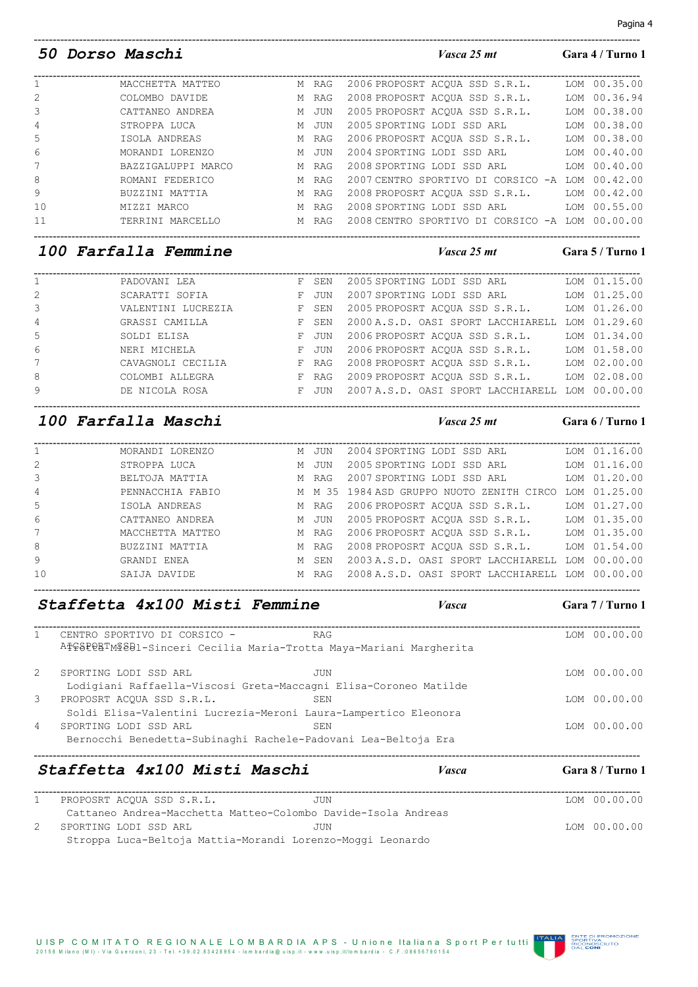### UIS P C O MITATO REGIONALE LOMBARDIA A P S - Unione Italiana Sport Per tutti<br>20158 Milano (MI) - Via Guerzoni, 23 - Tel. +39.02.83428954 - lombardia@uisp.it - www.uisp.it/lombardia - C.F.:08656790154

|  | 50 Dorso Maschi | Vasca 25 mt | Gara 4 / Turno 1 |
|--|-----------------|-------------|------------------|
|  |                 |             |                  |

| 2006 PROPOSRT ACOUA SSD S.R.L.<br>MACCHETTA MATTEO<br>M RAG                      | LOM 00.35.00 |
|----------------------------------------------------------------------------------|--------------|
|                                                                                  |              |
| 2<br>2008 PROPOSRT ACOUA SSD S.R.L.<br>COLOMBO DAVIDE<br>M RAG                   | LOM 00.36.94 |
| 3<br>2005 PROPOSRT ACOUA SSD S.R.L.<br>CATTANEO ANDREA<br>JUN<br>M               | LOM 00.38.00 |
| 4<br>2005 SPORTING LODI SSD ARL<br>STROPPA LUCA<br>JUN<br>M                      | LOM 00.38.00 |
| 5<br>2006 PROPOSRT ACOUA SSD S.R.L.<br>ISOLA ANDREAS<br>M RAG                    | LOM 00.38.00 |
| 6<br>2004 SPORTING LODI SSD ARL<br>MORANDI LORENZO<br>M JUN                      | LOM 00.40.00 |
| $\overline{7}$<br>2008 SPORTING LODI SSD ARL<br>BAZZIGALUPPI MARCO<br>M RAG      | LOM 00.40.00 |
| 8<br>2007 CENTRO SPORTIVO DI CORSICO -A LOM 00.42.00<br>ROMANI FEDERICO<br>M RAG |              |
| 9<br>2008 PROPOSRT ACOUA SSD S.R.L.<br>BUZZINI MATTIA<br>M RAG                   | LOM 00.42.00 |
| 10<br>LOM 00.55.00<br>2008 SPORTING LODI SSD ARL<br>MIZZI MARCO<br>M RAG         |              |
| 2008 CENTRO SPORTIVO DI CORSICO -A LOM 00.00.00<br>TERRINI MARCELLO<br>M RAG     |              |
|                                                                                  |              |

-----------------------------------------------------------------------------------------------------------------------------------------------------------------

### *100 Farfalla Femmine Vasca 25 mt* **Gara 5 / Turno 1**

| $\mathbf{1}$   | PADOVANI LEA       | F SEN | 2005 SPORTING LODI SSD ARL                      | LOM 01.15.00 |
|----------------|--------------------|-------|-------------------------------------------------|--------------|
| 2              | SCARATTI SOFIA     | F JUN | 2007 SPORTING LODI SSD ARL                      | LOM 01.25.00 |
| 3              | VALENTINI LUCREZIA | F SEN | 2005 PROPOSRT ACOUA SSD S.R.L.                  | LOM 01.26.00 |
| $\overline{4}$ | GRASSI CAMILLA     | F SEN | 2000 A.S.D. OASI SPORT LACCHIARELL LOM 01.29.60 |              |
| 5              | SOLDI ELISA        | F JUN | 2006 PROPOSRT ACOUA SSD S.R.L.                  | LOM 01.34.00 |
| 6              | NERI MICHELA       | F JUN | 2006 PROPOSRT ACOUA SSD S.R.L.                  | LOM 01.58.00 |
| 7              | CAVAGNOLI CECILIA  | F RAG | 2008 PROPOSRT ACOUA SSD S.R.L.                  | LOM 02.00.00 |
| 8              | COLOMBI ALLEGRA    | F RAG | 2009 PROPOSRT ACOUA SSD S.R.L.                  | LOM 02.08.00 |
| 9              | DE NICOLA ROSA     | F JUN | 2007 A.S.D. OASI SPORT LACCHIARELL LOM 00.00.00 |              |
|                |                    |       |                                                 |              |

### *100 Farfalla Maschi Vasca 25 mt* **Gara 6 / Turno 1**

| $\mathbf{1}$   | MORANDI LORENZO  | M JUN | 2004 SPORTING LODI SSD ARL                      | LOM 01.16.00 |
|----------------|------------------|-------|-------------------------------------------------|--------------|
| 2              | STROPPA LUCA     | M JUN | 2005 SPORTING LODI SSD ARL LOM 01.16.00         |              |
| 3              | BELTOJA MATTIA   | M RAG | 2007 SPORTING LODI SSD ARL                      | LOM 01.20.00 |
| $\overline{4}$ | PENNACCHIA FABIO |       | M M 35 1984 ASD GRUPPO NUOTO ZENITH CIRCO       | LOM 01.25.00 |
| .5             | ISOLA ANDREAS    | M RAG | 2006 PROPOSRT ACOUA SSD S.R.L.                  | LOM 01.27.00 |
| 6              | CATTANEO ANDREA  | M JUN | 2005 PROPOSRT ACOUA SSD S.R.L. LOM 01.35.00     |              |
| 7              | MACCHETTA MATTEO | M RAG | 2006 PROPOSRT ACOUA SSD S.R.L. LOM 01.35.00     |              |
| 8              | BUZZINI MATTIA   | M RAG | 2008 PROPOSRT ACOUA SSD S.R.L. LOM 01.54.00     |              |
| 9              | GRANDI ENEA      | M SEN | 2003 A.S.D. OASI SPORT LACCHIARELL LOM 00.00.00 |              |
| 10             | SAIJA DAVIDE     | M RAG | 2008 A.S.D. OASI SPORT LACCHIARELL LOM 00.00.00 |              |
|                |                  |       |                                                 |              |

-----------------------------------------------------------------------------------------------------------------------------------------------------------------

|                | Staffetta 4x100 Misti Femmine                                      |            | <b>Vasca</b> | Gara 7 / Turno 1 |
|----------------|--------------------------------------------------------------------|------------|--------------|------------------|
| 1              | CENTRO SPORTIVO DI CORSICO -                                       | <b>RAG</b> |              | LOM 00.00.00     |
|                | ATGSPORTMISDI-Sinceri Cecilia Maria-Trotta Maya-Mariani Margherita |            |              |                  |
| 2              | SPORTING LODI SSD ARL                                              | JUN        |              | LOM 00.00.00     |
|                | Lodigiani Raffaella-Viscosi Greta-Maccagni Elisa-Coroneo Matilde   |            |              |                  |
| 3              | PROPOSRT ACOUA SSD S.R.L.                                          | SEN        |              | LOM 00.00.00     |
|                | Soldi Elisa-Valentini Lucrezia-Meroni Laura-Lampertico Eleonora    |            |              |                  |
| $\overline{4}$ | SPORTING LODI SSD ARL                                              | SEN        |              | LOM 00.00.00     |
|                | Bernocchi Benedetta-Subinaghi Rachele-Padovani Lea-Beltoja Era     |            |              |                  |
|                | Staffetta 4x100 Misti Maschi                                       |            | Vasca        | Gara 8 / Turno 1 |

| PROPOSRT ACOUA SSD S.R.L. | JUN                                                           | LOM 00.00.00 |
|---------------------------|---------------------------------------------------------------|--------------|
|                           | Cattaneo Andrea-Macchetta Matteo-Colombo Davide-Isola Andreas |              |
| SPORTING LODI SSD ARL     | .TUN                                                          | LOM 00.00.00 |
|                           | Stroppa Luca-Beltoja Mattia-Morandi Lorenzo-Moggi Leonardo    |              |

## Pagina 4

**IA ENTE DI PROMOZIONE<br>SPORTIVA<br>ENCONOSCIUTO**<br>DAL CONI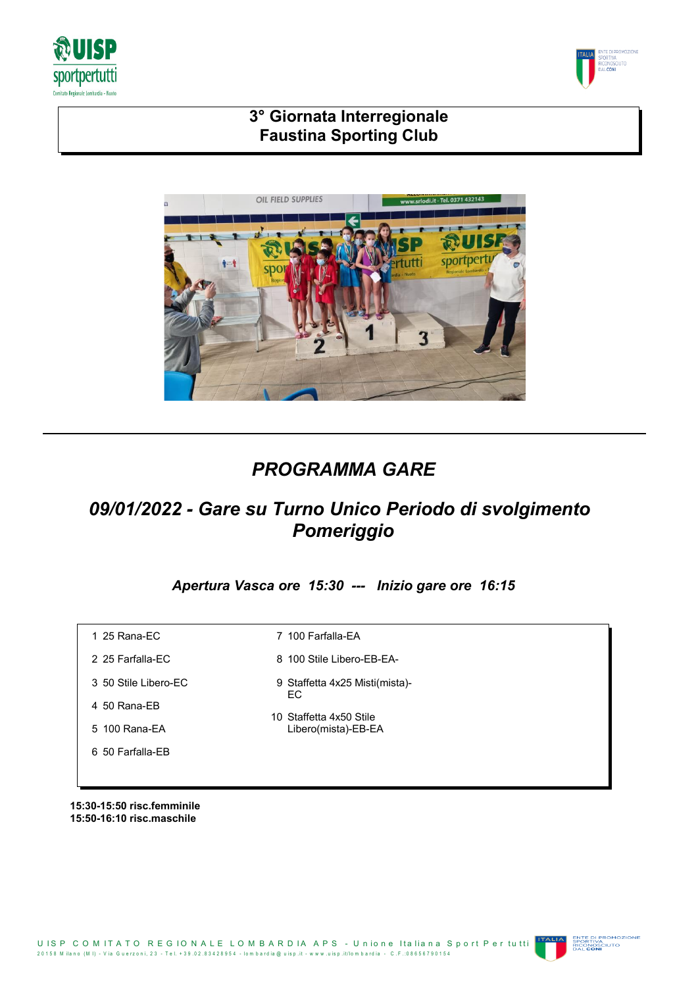



# **3° Giornata Interregionale Faustina Sporting Club**



# *PROGRAMMA GARE*

# *09/01/2022 - Gare su Turno Unico Periodo di svolgimento Pomeriggio*

*Apertura Vasca ore 15:30 --- Inizio gare ore 16:15*

| 1 25 Rana-EC         | 100 Farfalla-EA<br>7                           |
|----------------------|------------------------------------------------|
| 2 25 Farfalla-EC     | 8 100 Stile Libero-EB-EA-                      |
| 3 50 Stile Libero-EC | 9 Staffetta 4x25 Misti(mista)-<br>EC.          |
| 4 50 Rana-EB         |                                                |
| 5 100 Rana-EA        | 10 Staffetta 4x50 Stile<br>Libero(mista)-EB-EA |
| 6 50 Farfalla-EB     |                                                |
|                      |                                                |

**15:30-15:50 risc.femminile 15:50-16:10 risc.maschile**



ENTE DI PROMOZI<br>SPORTIVA<br>RICONOSCIUTO<br>DAL **CONI**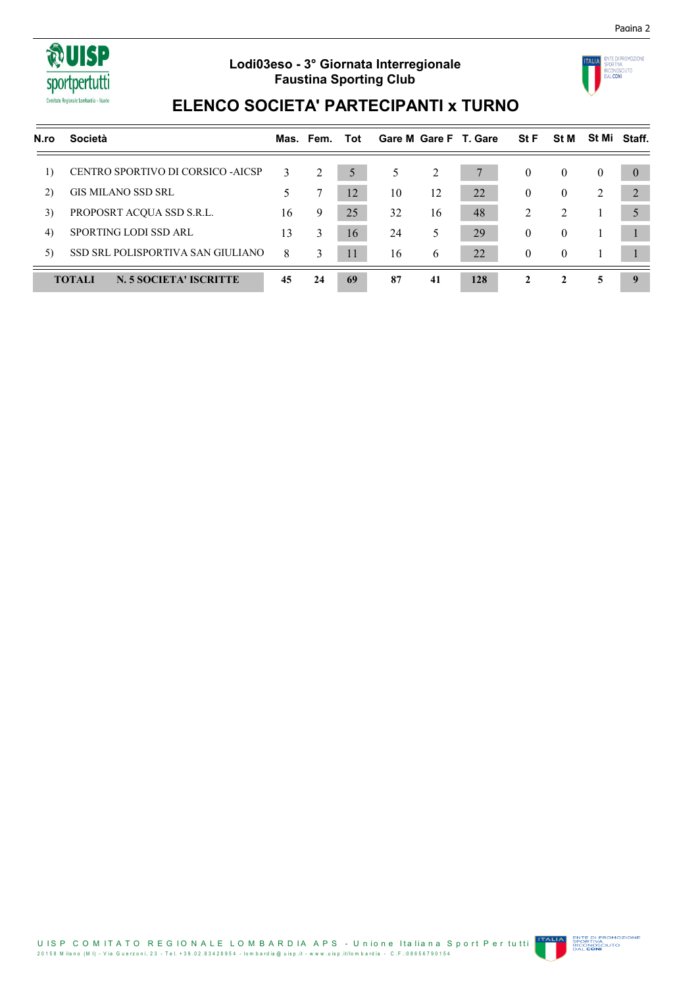

## **Lodi03eso - 3° Giornata Interregionale Faustina Sporting Club**



Pagina 2

# **ELENCO SOCIETA' PARTECIPANTI x TURNO**

| N.ro | <b>Società</b>                          |    | Mas. Fem. | Tot |    |    | Gare M Gare F T. Gare | <b>StF</b>     | <b>St M</b>    |          | St Mi Staff. |
|------|-----------------------------------------|----|-----------|-----|----|----|-----------------------|----------------|----------------|----------|--------------|
| 1)   | CENTRO SPORTIVO DI CORSICO -AICSP       | 3  | 2         | 5   | 5. | 2  |                       | $\theta$       | $\bf{0}$       | $\theta$ | $\theta$     |
| 2)   | <b>GIS MILANO SSD SRL</b>               |    |           | 12  | 10 | 12 | 22                    | $\mathbf{0}$   | $\theta$       | 2        | 2            |
| 3)   | PROPOSRT ACQUA SSD S.R.L.               | 16 | 9         | 25  | 32 | 16 | 48                    | 2              | $\mathfrak{D}$ |          | 5            |
| 4)   | SPORTING LODI SSD ARL                   | 13 | 3         | 16  | 24 | 5  | 29                    | $\theta$       | $\theta$       |          |              |
| 5)   | SSD SRL POLISPORTIVA SAN GIULIANO       | 8  | 3         | 11  | 16 | 6  | 22                    | $\overline{0}$ | $\theta$       |          |              |
|      | <b>TOTALI</b><br>N. 5 SOCIETA' ISCRITTE | 45 | 24        | 69  | 87 | 41 | 128                   | 2              | $\mathbf{2}$   | 5        | <b>Q</b>     |

U IS P C O M IT A T O R E G IO N A L E L O M B A R D IA A P S - U nione Italiana Sport Per tutti 2 0 1 5 8 M ila n o (M I) - V ia G u e rz o n i, 2 3 - T e l. + 3 9 .0 2 .8 3 4 2 8 9 5 4 - lo m b a rd ia @ u is p .it - w w w .u is p .it/lo m b a rd ia - C .F .:0 8 6 5 6 7 9 0 1 5 4

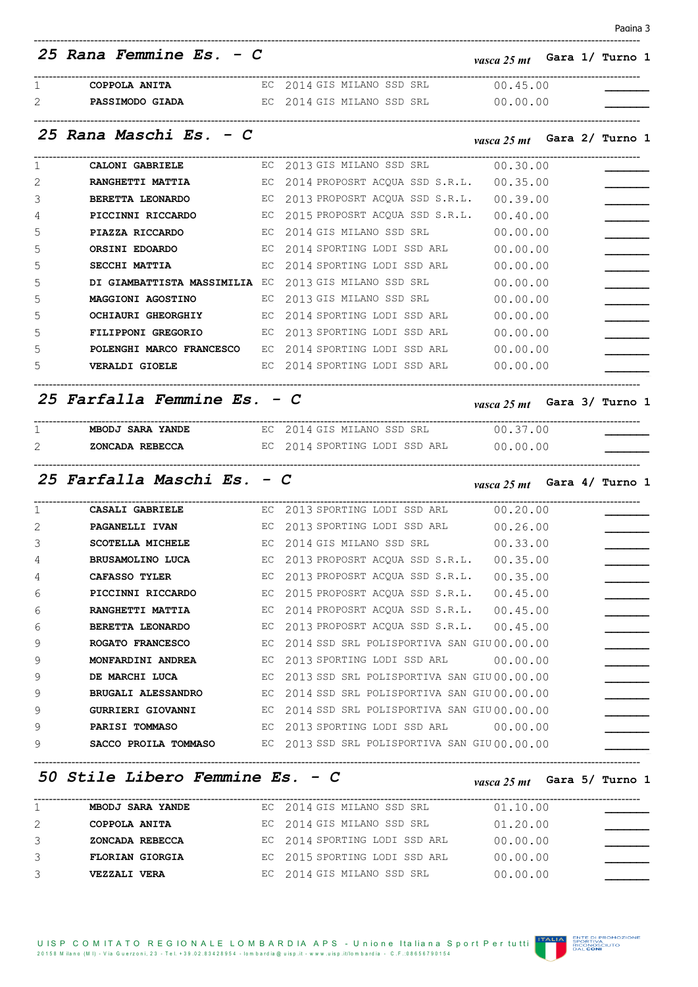| iair<br>М |  |
|-----------|--|
|           |  |

|   | 25 Rana Femmine Es. - C                                                       |    |                                                                    | <i>vasca 25 mt</i> Gara 1/ Turno 1 |  |                               |  |
|---|-------------------------------------------------------------------------------|----|--------------------------------------------------------------------|------------------------------------|--|-------------------------------|--|
| 1 | COPPOLA ANITA                                                                 |    | EC 2014 GIS MILANO SSD SRL 00.45.00                                |                                    |  | ----------------------------- |  |
| 2 | <b>PASSIMODO GIADA</b> EC 2014 GIS MILANO SSD SRL 00.00.00                    |    |                                                                    |                                    |  |                               |  |
|   | 25 Rana Maschi Es. - C                                                        |    |                                                                    | <i>vasca 25 mt</i> Gara 2/ Turno 1 |  |                               |  |
| 1 | <b>CALONI GABRIELE</b>                                                        |    | EC 2013 GIS MILANO SSD SRL 00.30.00                                |                                    |  |                               |  |
| 2 | <b>RANGHETTI MATTIA</b>                                                       |    | EC 2014 PROPOSRT ACQUA SSD S.R.L.                                  | 00.35.00                           |  |                               |  |
| 3 |                                                                               |    | BERETTA LEONARDO EC 2013 PROPOSRT ACQUA SSD S.R.L.                 | 00.39.00                           |  |                               |  |
| 4 |                                                                               |    | <b>PICCINNI RICCARDO</b> EC 2015 PROPOSRT ACQUA SSD S.R.L.         | 00.40.00                           |  |                               |  |
| 5 | PIAZZA RICCARDO                                                               |    | EC 2014 GIS MILANO SSD SRL                                         | 00.00.00                           |  |                               |  |
| 5 | <b>ORSINI EDOARDO</b><br>$\overline{C}$ and $\overline{C}$ and $\overline{C}$ |    | 2014 SPORTING LODI SSD ARL                                         | 00.00.00                           |  |                               |  |
| 5 | SECCHI MATTIA                                                                 | EC | 2014 SPORTING LODI SSD ARL                                         | 00.00.00                           |  |                               |  |
| 5 |                                                                               |    | DI GIAMBATTISTA MASSIMILIA EC 2013 GIS MILANO SSD SRL              | 00.00.00                           |  |                               |  |
| 5 | <b>MAGGIONI AGOSTINO</b>                                                      |    | EC 2013 GIS MILANO SSD SRL                                         | 00.00.00                           |  |                               |  |
| 5 |                                                                               |    | OCHIAURI GHEORGHIY EC 2014 SPORTING LODI SSD ARL                   | 00.00.00                           |  |                               |  |
| 5 |                                                                               |    | FILIPPONI GREGORIO EC 2013 SPORTING LODI SSD ARL                   | 00.00.00                           |  |                               |  |
| 5 |                                                                               |    | POLENGHI MARCO FRANCESCO EC 2014 SPORTING LODI SSD ARL             | 00.00.00                           |  |                               |  |
| 5 |                                                                               |    | <b>VERALDI GIOELE</b> EC 2014 SPORTING LODI SSD ARL 00.00.00       |                                    |  |                               |  |
|   | 25 Farfalla Femmine Es. - C                                                   |    |                                                                    | <i>vasca 25 mt</i> Gara 3/ Turno 1 |  |                               |  |
| 1 | ----------------------------                                                  |    | MBODJ SARA YANDE EC 2014 GIS MILANO SSD SRL 00.37.00               |                                    |  |                               |  |
| 2 | <b>ZONCADA REBECCA</b> BC 2014 SPORTING LODI SSD ARL 00.00.00                 |    |                                                                    |                                    |  |                               |  |
|   | 25 Farfalla Maschi Es. - C                                                    |    |                                                                    | vasca 25 mt Gara 4/ Turno 1        |  |                               |  |
| 1 | <b>CASALI GABRIELE</b>                                                        |    | EC 2013 SPORTING LODI SSD ARL 00.20.00                             |                                    |  |                               |  |
| 2 | <b>PAGANELLI IVAN</b>                                                         |    | EC 2013 SPORTING LODI SSD ARL                                      | 00.26.00                           |  |                               |  |
| 3 | SCOTELLA MICHELE                                                              |    | EC 2014 GIS MILANO SSD SRL 00.33.00                                |                                    |  |                               |  |
| 4 |                                                                               |    | BRUSAMOLINO LUCA EC 2013 PROPOSRT ACQUA SSD S.R.L. 00.35.00        |                                    |  |                               |  |
| 4 | <b>CAFASSO TYLER</b>                                                          |    | EC 2013 PROPOSRT ACQUA SSD S.R.L. 00.35.00                         |                                    |  |                               |  |
| 6 |                                                                               |    | PICCINNI RICCARDO EC 2015 PROPOSRT ACQUA SSD S.R.L. 00.45.00       |                                    |  |                               |  |
| 6 |                                                                               |    | <b>RANGHETTI MATTIA</b> EC 2014 PROPOSRT ACQUA SSD S.R.L. 00.45.00 |                                    |  |                               |  |
| 6 |                                                                               |    | BERETTA LEONARDO EC 2013 PROPOSRT ACQUA SSD S.R.L. 00.45.00        |                                    |  |                               |  |
| 9 |                                                                               |    | ROGATO FRANCESCO EC 2014 SSD SRL POLISPORTIVA SAN GIU00.00.00      |                                    |  |                               |  |
| 9 |                                                                               |    | <b>MONFARDINI ANDREA</b> BC 2013 SPORTING LODI SSD ARL 00.00.00    |                                    |  |                               |  |
| 9 |                                                                               |    | DE MARCHI LUCA EC 2013 SSD SRL POLISPORTIVA SAN GIU 00.00.00       |                                    |  |                               |  |
| 9 |                                                                               |    | BRUGALI ALESSANDRO EC 2014 SSD SRL POLISPORTIVA SAN GIU00.00.00    |                                    |  |                               |  |
| 9 |                                                                               |    | GURRIERI GIOVANNI EC 2014 SSD SRL POLISPORTIVA SAN GIU 00.00.00    |                                    |  |                               |  |
| 9 |                                                                               |    | <b>PARISI TOMMASO</b> EC 2013 SPORTING LODI SSD ARL 00.00.00       |                                    |  |                               |  |
| 9 |                                                                               |    | SACCO PROILA TOMMASO EC 2013 SSD SRL POLISPORTIVA SAN GIU 00.00.00 |                                    |  |                               |  |

*50 Stile Libero Femmine Es. - C vasca 25 mt* **Gara 5/ Turno 1**

|   | <b>MBODJ SARA YANDE</b> | EC 2014 GIS MILANO SSD SRL    | 01.10.00   |
|---|-------------------------|-------------------------------|------------|
|   | COPPOLA ANITA           | EC 2014 GIS MILANO SSD SRL    | 01, 20, 00 |
| 3 | ZONCADA REBECCA         | EC 2014 SPORTING LODI SSD ARL | 00.00.00   |
| 3 | <b>FLORIAN GIORGIA</b>  | EC 2015 SPORTING LODI SSD ARL | 00.00.00   |
| 3 | <b>VEZZALI VERA</b>     | EC 2014 GIS MILANO SSD SRL    | 00.00.00   |

**ITALIA ENTE DI PROMOZIONE<br>ENCONOSCIUTO<br>ENCONO DE DE CONOSCIUTO**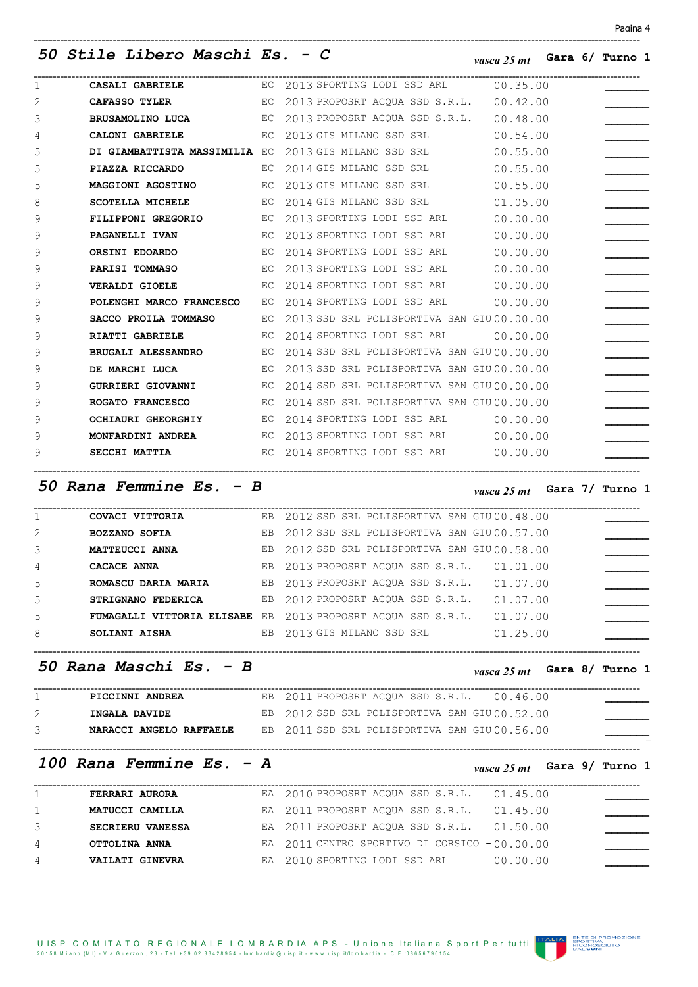## *50 Stile Libero Maschi Es. - C vasca 25 mt* **Gara 6/ Turno 1**

| 1              |                        | <b>CASALI GABRIELE</b> EC 2013 SPORTING LODI SSD ARL 00.35.00        |
|----------------|------------------------|----------------------------------------------------------------------|
| $\overline{2}$ |                        | CAFASSO TYLER EC 2013 PROPOSRT ACQUA SSD S.R.L. 00.42.00             |
| 3              |                        | BRUSAMOLINO LUCA EC 2013 PROPOSRT ACQUA SSD S.R.L. 00.48.00          |
| 4              |                        | CALONI GABRIELE EC 2013 GIS MILANO SSD SRL 00.54.00                  |
| 5              |                        | DI GIAMBATTISTA MASSIMILIA EC 2013 GIS MILANO SSD SRL 00.55.00       |
| 5              | PIAZZA RICCARDO        | EC 2014 GIS MILANO SSD SRL 00.55.00                                  |
| 5              |                        | MAGGIONI AGOSTINO EC 2013 GIS MILANO SSD SRL 00.55.00                |
| 8              | SCOTELLA MICHELE       | EC 2014 GIS MILANO SSD SRL 01.05.00                                  |
| 9              | FILIPPONI GREGORIO EC  | 2013 SPORTING LODI SSD ARL 00.00.00                                  |
| 9              | PAGANELLI IVAN         | EC 2013 SPORTING LODI SSD ARL<br>00.00.00                            |
| 9              | ORSINI EDOARDO         | EC 2014 SPORTING LODI SSD ARL 00.00.00                               |
| 9              | PARISI TOMMASO         | EC 2013 SPORTING LODI SSD ARL 00.00.00                               |
| 9              |                        | <b>VERALDI GIOELE</b> EC 2014 SPORTING LODI SSD ARL 00.00.00         |
| 9              |                        | POLENGHI MARCO FRANCESCO EC 2014 SPORTING LODI SSD ARL 00.00.00      |
| 9              | SACCO PROILA TOMMASO   | EC 2013 SSD SRL POLISPORTIVA SAN GIU00.00.00                         |
| 9              | <b>RIATTI GABRIELE</b> | EC 2014 SPORTING LODI SSD ARL 00.00.00                               |
| 9              |                        | BRUGALI ALESSANDRO EC 2014 SSD SRL POLISPORTIVA SAN GIU 00.00.00     |
| 9              |                        | DE MARCHI LUCA EC 2013 SSD SRL POLISPORTIVA SAN GIU 00.00.00         |
| 9              |                        | GURRIERI GIOVANNI KC 2014 SSD SRL POLISPORTIVA SAN GIU00.00.00       |
| 9              |                        | <b>ROGATO FRANCESCO</b> EC 2014 SSD SRL POLISPORTIVA SAN GIU00.00.00 |
| 9              | OCHIAURI GHEORGHIY     | EC 2014 SPORTING LODI SSD ARL 00.00.00                               |
| 9              |                        | <b>MONFARDINI ANDREA</b> EC 2013 SPORTING LODI SSD ARL 00.00.00      |
| 9              | SECCHI MATTIA          | EC 2014 SPORTING LODI SSD ARL 00.00.00                               |
|                |                        |                                                                      |

-----------------------------------------------------------------------------------------------------------------------------------------------------------------

## *50 Rana Femmine Es. - B vasca 25 mt* **Gara 7/ Turno 1**

|                | COVACI VITTORIA      | EB 2012 SSD SRL POLISPORTIVA SAN GIU 00.48.00                            |
|----------------|----------------------|--------------------------------------------------------------------------|
| $\overline{2}$ | <b>BOZZANO SOFIA</b> | EB 2012 SSD SRL POLISPORTIVA SAN GIU00.57.00                             |
| 3              | MATTEUCCI ANNA       | EB 2012 SSD SRL POLISPORTIVA SAN GIU 00.58.00                            |
| 4              | CACACE ANNA          | EB 2013 PROPOSRT ACOUA SSD S.R.L.<br>01.01.00                            |
| 5              | ROMASCU DARIA MARIA  | EB 2013 PROPOSRT ACOUA SSD S.R.L.<br>01.07.00                            |
| 5              | STRIGNANO FEDERICA   | EB 2012 PROPOSRT ACOUA SSD S.R.L.<br>01.07.00                            |
| 5              |                      | FUMAGALLI VITTORIA ELISABE EB 2013 PROPOSRT ACOUA SSD S.R.L.<br>01.07.00 |
| 8              | <b>SOLIANI AISHA</b> | EB 2013 GIS MILANO SSD SRL<br>01.25.00                                   |
|                |                      |                                                                          |
|                |                      |                                                                          |

-----------------------------------------------------------------------------------------------------------------------------------------------------------------

*50 Rana Maschi Es. - B vasca 25 mt* **Gara 8/ Turno 1**

| PICCINNI ANDREA         | EB 2011 PROPOSRT ACOUA SSD S.R.L. 00.46.00   |  |  |  |
|-------------------------|----------------------------------------------|--|--|--|
| INGALA DAVIDE           | EB 2012 SSD SRL POLISPORTIVA SAN GIU00.52.00 |  |  |  |
| NARACCI ANGELO RAFFAELE | EB 2011 SSD SRL POLISPORTIVA SAN GIU00.56.00 |  |  |  |

-----------------------------------------------------------------------------------------------------------------------------------------------------------------

# *100 Rana Femmine Es. - A vasca 25 mt* **Gara 9/ Turno 1**

|                | FERRARI AURORA          | EA 2010 PROPOSRT ACOUA SSD S.R.L.              | 01.45.00 |
|----------------|-------------------------|------------------------------------------------|----------|
| $\mathbf{1}$   | MATUCCI CAMILLA         | EA 2011 PROPOSRT ACOUA SSD S.R.L.              | 01.45.00 |
| 3              | <b>SECRIERU VANESSA</b> | EA 2011 PROPOSRT ACOUA SSD S.R.L.              | 01.50.00 |
| $\overline{4}$ | OTTOLINA ANNA           | EA $2011$ CENTRO SPORTIVO DI CORSICO -00.00.00 |          |
| $\overline{4}$ | VAILATI GINEVRA         | EA 2010 SPORTING LODI SSD ARL                  | 00.00.00 |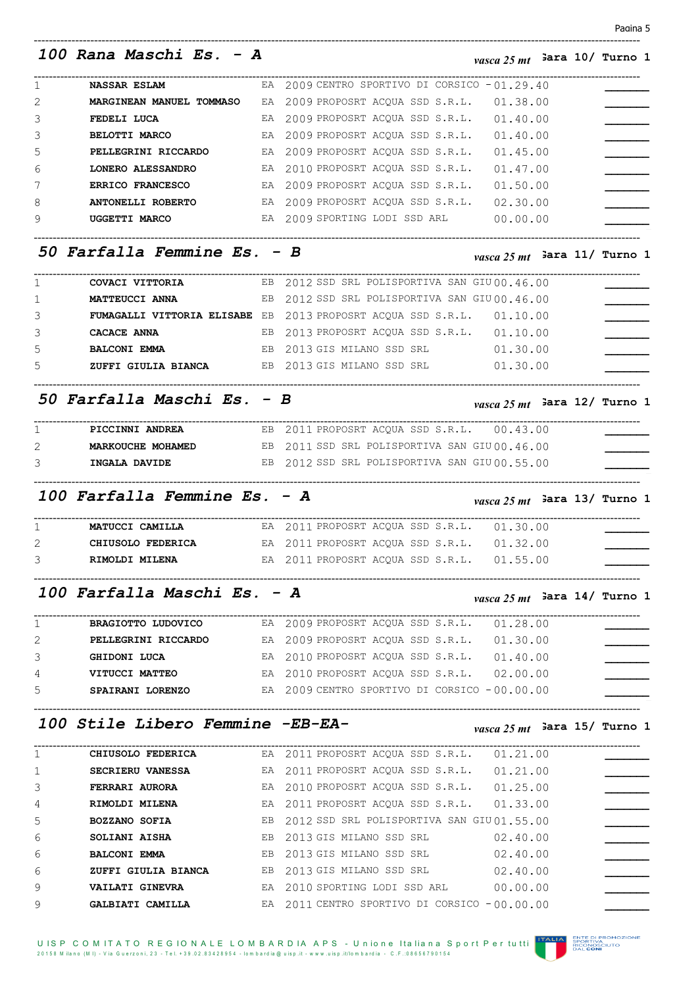## *100 Rana Maschi Es. - A vasca 25 mt* **Gara 10/ Turno 1**

| <b>NASSAR ESLAM</b>             | EA $2009$ CENTRO SPORTIVO DI CORSICO -01.29.40 |
|---------------------------------|------------------------------------------------|
| <b>MARGINEAN MANUEL TOMMASO</b> | EA 2009 PROPOSRT ACOUA SSD S.R.L. 01.38.00     |
| FEDELI LUCA                     | EA $2009$ PROPOSRT ACOUA SSD S.R.L. $01.40.00$ |

|   | <b>BELOTTI MARCO</b>    | EA 2009 PROPOSRT ACQUA SSD S.R.L. |  | 01.40.00 |
|---|-------------------------|-----------------------------------|--|----------|
| 5 | PELLEGRINI RICCARDO     | EA 2009 PROPOSRT ACQUA SSD S.R.L. |  | 01.45.00 |
| 6 | LONERO ALESSANDRO       | EA 2010 PROPOSRT ACOUA SSD S.R.L. |  | 01.47.00 |
|   | <b>ERRICO FRANCESCO</b> | EA 2009 PROPOSRT ACOUA SSD S.R.L. |  | 01.50.00 |
| 8 | ANTONELLI ROBERTO       | EA 2009 PROPOSRT ACOUA SSD S.R.L. |  | 02.30.00 |
| 9 | UGGETTI MARCO           | EA 2009 SPORTING LODI SSD ARL     |  | 00.00.00 |
|   |                         |                                   |  |          |

-----------------------------------------------------------------------------------------------------------------------------------------------------------------

# *50 Farfalla Femmine Es. - B vasca 25 mt* **Gara 11/ Turno 1**

| COVACI VITTORIA     |  |                                                                                                                                                                                                                                                                 |
|---------------------|--|-----------------------------------------------------------------------------------------------------------------------------------------------------------------------------------------------------------------------------------------------------------------|
| MATTEUCCI ANNA      |  |                                                                                                                                                                                                                                                                 |
|                     |  | 01.10.00                                                                                                                                                                                                                                                        |
| CACACE ANNA         |  | 01.10.00                                                                                                                                                                                                                                                        |
| <b>BALCONI EMMA</b> |  | 01.30.00                                                                                                                                                                                                                                                        |
| ZUFFI GIULIA BIANCA |  | 01.30.00                                                                                                                                                                                                                                                        |
|                     |  | EB 2012 SSD SRL POLISPORTIVA SAN GIU 00.46.00<br>EB 2012 SSD SRL POLISPORTIVA SAN GIU 00.46.00<br>FUMAGALLI VITTORIA ELISABE EB 2013 PROPOSRT ACOUA SSD S.R.L.<br>EB 2013 PROPOSRT ACOUA SSD S.R.L.<br>EB 2013 GIS MILANO SSD SRL<br>EB 2013 GIS MILANO SSD SRL |

-----------------------------------------------------------------------------------------------------------------------------------------------------------------

# *50 Farfalla Maschi Es. - B vasca 25 mt* **Gara 12/ Turno 1**

| PICCINNI ANDREA   | EB 2011 PROPOSRT ACOUA SSD S.R.L. 00.43.00   |
|-------------------|----------------------------------------------|
| MARKOUCHE MOHAMED | EB 2011 SSD SRL POLISPORTIVA SAN GIU00.46.00 |
| INGALA DAVIDE     | EB 2012 SSD SRL POLISPORTIVA SAN GIU00.55.00 |

-----------------------------------------------------------------------------------------------------------------------------------------------------------------

## 100 Farfalla Femmine Es. - A *vasca 25 mt* <sup>Jara 13/ Turno 1</sup>

| MATUCCI CAMILLA   | EA 2011 PROPOSRT ACOUA SSD S.R.L. 01.30.00     |  |  |
|-------------------|------------------------------------------------|--|--|
| CHIUSOLO FEDERICA | EA $2011$ PROPOSRT ACOUA SSD S.R.L. $01.32.00$ |  |  |
| RIMOLDI MILENA    | EA 2011 PROPOSRT ACOUA SSD S.R.L. 01.55.00     |  |  |
|                   |                                                |  |  |

# *100 Farfalla Maschi Es. - A vasca 25 mt* **Gara 14/ Turno 1**

|                | <b>BRAGIOTTO LUDOVICO</b> | EA 2009 PROPOSRT ACOUA SSD S.R.L.<br>01.28.00  |  |
|----------------|---------------------------|------------------------------------------------|--|
|                | PELLEGRINI RICCARDO       | EA 2009 PROPOSRT ACOUA SSD S.R.L.<br>01.30.00  |  |
| 3              | GHIDONI LUCA              | EA 2010 PROPOSRT ACQUA SSD S.R.L.<br>01.40.00  |  |
| $\overline{4}$ | VITUCCI MATTEO            | EA 2010 PROPOSRT ACOUA SSD S.R.L.<br>02.00.00  |  |
| .5             | SPAIRANI LORENZO          | EA $2009$ CENTRO SPORTIVO DI CORSICO -00.00.00 |  |

## *100 Stile Libero Femmine -EB-EA- vasca 25 mt* **Gara 15/ Turno 1**

-----------------------------------------------------------------------------------------------------------------------------------------------------------------

|   | CHIUSOLO FEDERICA    | EA 2011 PROPOSRT ACOUA SSD S.R.L.              | 01.21.00 |
|---|----------------------|------------------------------------------------|----------|
|   | SECRIERU VANESSA     | EA 2011 PROPOSRT ACOUA SSD S.R.L.              | 01.21.00 |
| 3 | FERRARI AURORA       | EA 2010 PROPOSRT ACOUA SSD S.R.L.              | 01.25.00 |
| 4 | RIMOLDI MILENA       | EA 2011 PROPOSRT ACOUA SSD S.R.L.              | 01.33.00 |
| 5 | <b>BOZZANO SOFIA</b> | EB 2012 SSD SRL POLISPORTIVA SAN GIU 01.55.00  |          |
| 6 | SOLIANI AISHA        | EB 2013 GIS MILANO SSD SRL                     | 02.40.00 |
| 6 | <b>BALCONI EMMA</b>  | EB 2013 GIS MILANO SSD SRL                     | 02.40.00 |
| 6 | ZUFFI GIULIA BIANCA  | EB 2013 GIS MILANO SSD SRL                     | 02.40.00 |
| 9 | VAILATI GINEVRA      | EA 2010 SPORTING LODI SSD ARL                  | 00.00.00 |
| 9 | GALBIATI CAMILLA     | EA $2011$ CENTRO SPORTIVO DI CORSICO -00.00.00 |          |